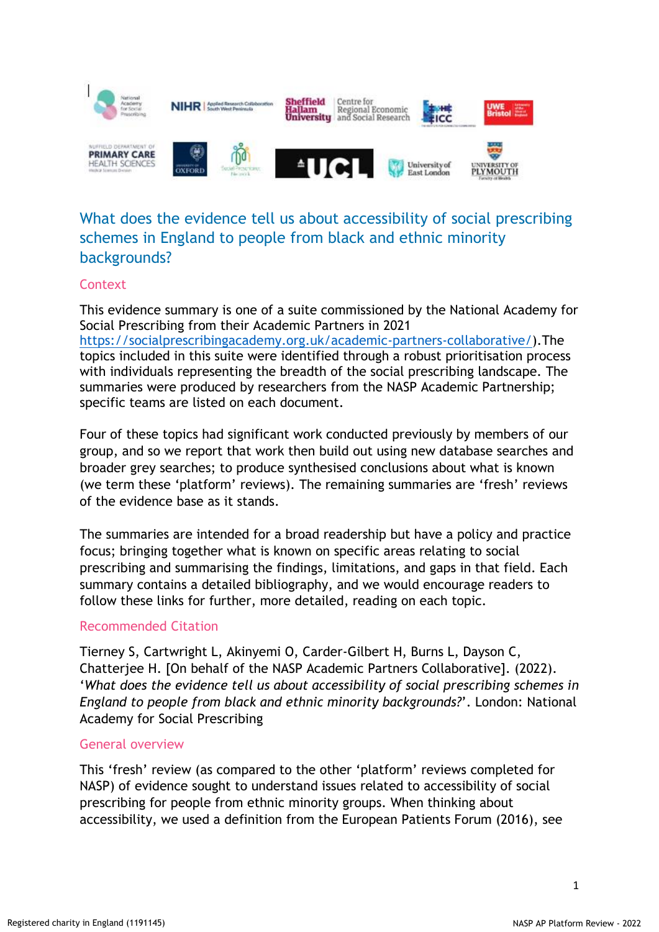

# What does the evidence tell us about accessibility of social prescribing schemes in England to people from black and ethnic minority backgrounds?

# **Context**

This evidence summary is one of a suite commissioned by the National Academy for Social Prescribing from their Academic Partners in 2021 [https://socialprescribingacademy.org.uk/academic-partners-collaborative/\)](https://socialprescribingacademy.org.uk/academic-partners-collaborative/).The topics included in this suite were identified through a robust prioritisation process with individuals representing the breadth of the social prescribing landscape. The summaries were produced by researchers from the NASP Academic Partnership; specific teams are listed on each document.

Four of these topics had significant work conducted previously by members of our group, and so we report that work then build out using new database searches and broader grey searches; to produce synthesised conclusions about what is known (we term these 'platform' reviews). The remaining summaries are 'fresh' reviews of the evidence base as it stands.

The summaries are intended for a broad readership but have a policy and practice focus; bringing together what is known on specific areas relating to social prescribing and summarising the findings, limitations, and gaps in that field. Each summary contains a detailed bibliography, and we would encourage readers to follow these links for further, more detailed, reading on each topic.

#### Recommended Citation

Tierney S, Cartwright L, Akinyemi O, Carder-Gilbert H, Burns L, Dayson C, Chatterjee H. [On behalf of the NASP Academic Partners Collaborative]. (2022). '*What does the evidence tell us about accessibility of social prescribing schemes in England to people from black and ethnic minority backgrounds?*'. London: National Academy for Social Prescribing

#### General overview

This 'fresh' review (as compared to the other 'platform' reviews completed for NASP) of evidence sought to understand issues related to accessibility of social prescribing for people from ethnic minority groups. When thinking about accessibility, we used a definition from the European Patients Forum (2016), see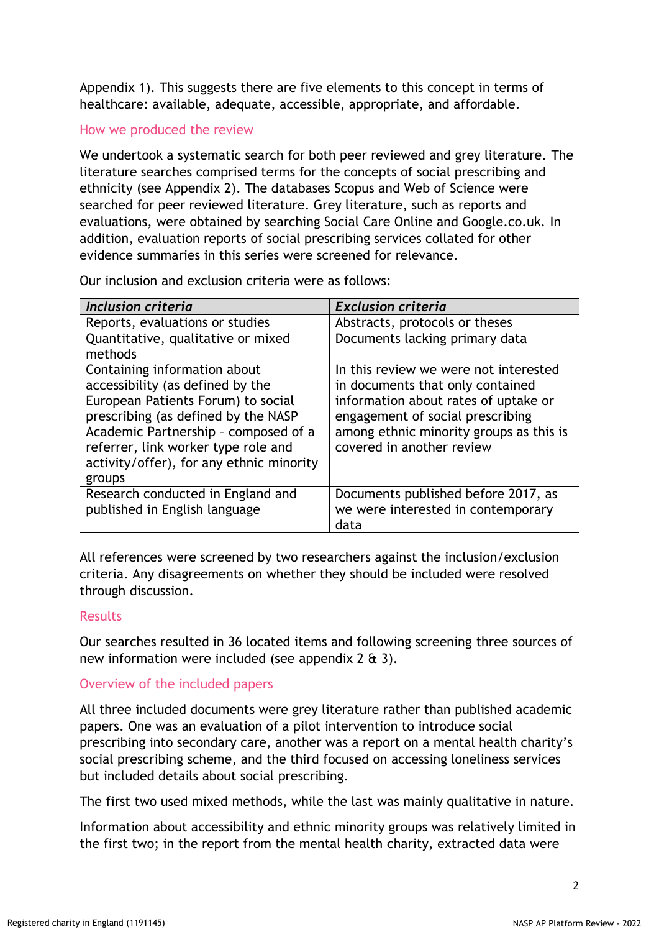Appendix 1). This suggests there are five elements to this concept in terms of healthcare: available, adequate, accessible, appropriate, and affordable.

#### How we produced the review

We undertook a systematic search for both peer reviewed and grey literature. The literature searches comprised terms for the concepts of social prescribing and ethnicity (see Appendix 2). The databases Scopus and Web of Science were searched for peer reviewed literature. Grey literature, such as reports and evaluations, were obtained by searching Social Care Online and Google.co.uk. In addition, evaluation reports of social prescribing services collated for other evidence summaries in this series were screened for relevance.

Our inclusion and exclusion criteria were as follows:

| Inclusion criteria                                                                                                                                                                                                                                                                 | <b>Exclusion criteria</b>                                                                                                                                                                                                     |
|------------------------------------------------------------------------------------------------------------------------------------------------------------------------------------------------------------------------------------------------------------------------------------|-------------------------------------------------------------------------------------------------------------------------------------------------------------------------------------------------------------------------------|
| Reports, evaluations or studies                                                                                                                                                                                                                                                    | Abstracts, protocols or theses                                                                                                                                                                                                |
| Quantitative, qualitative or mixed<br>methods                                                                                                                                                                                                                                      | Documents lacking primary data                                                                                                                                                                                                |
| Containing information about<br>accessibility (as defined by the<br>European Patients Forum) to social<br>prescribing (as defined by the NASP<br>Academic Partnership - composed of a<br>referrer, link worker type role and<br>activity/offer), for any ethnic minority<br>groups | In this review we were not interested<br>in documents that only contained<br>information about rates of uptake or<br>engagement of social prescribing<br>among ethnic minority groups as this is<br>covered in another review |
| Research conducted in England and<br>published in English language                                                                                                                                                                                                                 | Documents published before 2017, as<br>we were interested in contemporary<br>data                                                                                                                                             |

All references were screened by two researchers against the inclusion/exclusion criteria. Any disagreements on whether they should be included were resolved through discussion.

# Results

Our searches resulted in 36 located items and following screening three sources of new information were included (see appendix 2 & 3).

# Overview of the included papers

All three included documents were grey literature rather than published academic papers. One was an evaluation of a pilot intervention to introduce social prescribing into secondary care, another was a report on a mental health charity's social prescribing scheme, and the third focused on accessing loneliness services but included details about social prescribing.

The first two used mixed methods, while the last was mainly qualitative in nature.

Information about accessibility and ethnic minority groups was relatively limited in the first two; in the report from the mental health charity, extracted data were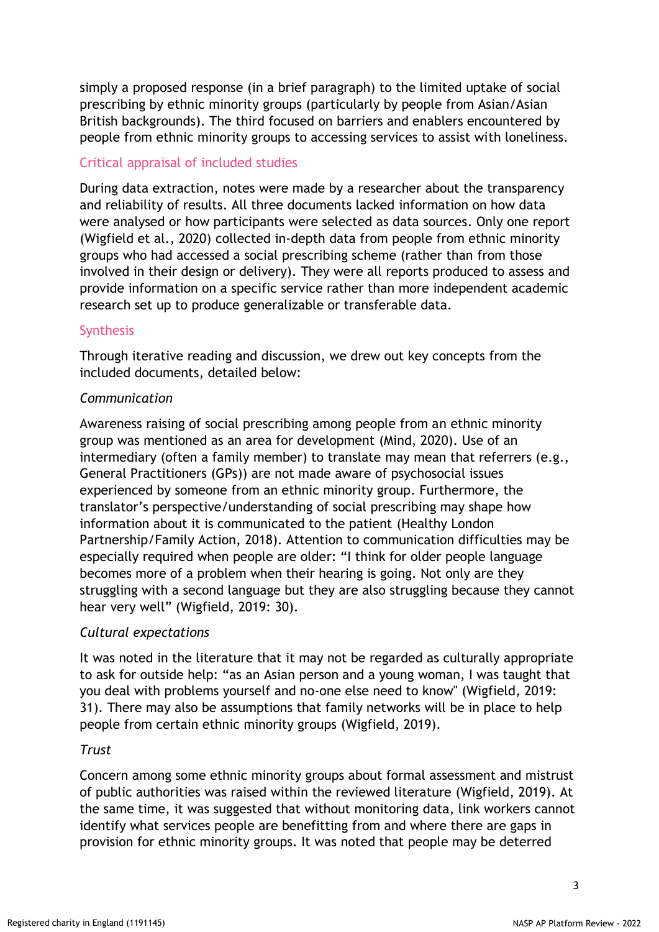simply a proposed response (in a brief paragraph) to the limited uptake of social prescribing by ethnic minority groups (particularly by people from Asian/Asian British backgrounds). The third focused on barriers and enablers encountered by people from ethnic minority groups to accessing services to assist with loneliness.

# Critical appraisal of included studies

During data extraction, notes were made by a researcher about the transparency and reliability of results. All three documents lacked information on how data were analysed or how participants were selected as data sources. Only one report (Wigfield et al., 2020) collected in-depth data from people from ethnic minority groups who had accessed a social prescribing scheme (rather than from those involved in their design or delivery). They were all reports produced to assess and provide information on a specific service rather than more independent academic research set up to produce generalizable or transferable data.

#### **Synthesis**

Through iterative reading and discussion, we drew out key concepts from the included documents, detailed below:

#### *Communication*

Awareness raising of social prescribing among people from an ethnic minority group was mentioned as an area for development (Mind, 2020). Use of an intermediary (often a family member) to translate may mean that referrers (e.g., General Practitioners (GPs)) are not made aware of psychosocial issues experienced by someone from an ethnic minority group. Furthermore, the translator's perspective/understanding of social prescribing may shape how information about it is communicated to the patient (Healthy London Partnership/Family Action, 2018). Attention to communication difficulties may be especially required when people are older: "I think for older people language becomes more of a problem when their hearing is going. Not only are they struggling with a second language but they are also struggling because they cannot hear very well" (Wigfield, 2019: 30).

# *Cultural expectations*

It was noted in the literature that it may not be regarded as culturally appropriate to ask for outside help: "as an Asian person and a young woman, I was taught that you deal with problems yourself and no-one else need to know" (Wigfield, 2019: 31). There may also be assumptions that family networks will be in place to help people from certain ethnic minority groups (Wigfield, 2019).

# *Trust*

Concern among some ethnic minority groups about formal assessment and mistrust of public authorities was raised within the reviewed literature (Wigfield, 2019). At the same time, it was suggested that without monitoring data, link workers cannot identify what services people are benefitting from and where there are gaps in provision for ethnic minority groups. It was noted that people may be deterred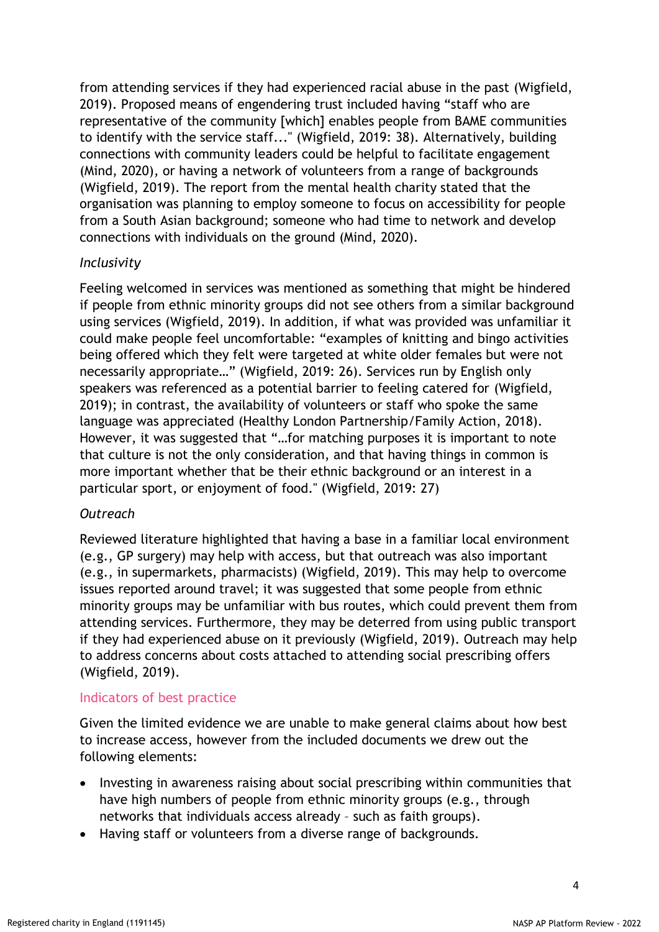from attending services if they had experienced racial abuse in the past (Wigfield, 2019). Proposed means of engendering trust included having "staff who are representative of the community [which] enables people from BAME communities to identify with the service staff..." (Wigfield, 2019: 38). Alternatively, building connections with community leaders could be helpful to facilitate engagement (Mind, 2020), or having a network of volunteers from a range of backgrounds (Wigfield, 2019). The report from the mental health charity stated that the organisation was planning to employ someone to focus on accessibility for people from a South Asian background; someone who had time to network and develop connections with individuals on the ground (Mind, 2020).

#### *Inclusivity*

Feeling welcomed in services was mentioned as something that might be hindered if people from ethnic minority groups did not see others from a similar background using services (Wigfield, 2019). In addition, if what was provided was unfamiliar it could make people feel uncomfortable: "examples of knitting and bingo activities being offered which they felt were targeted at white older females but were not necessarily appropriate…" (Wigfield, 2019: 26). Services run by English only speakers was referenced as a potential barrier to feeling catered for (Wigfield, 2019); in contrast, the availability of volunteers or staff who spoke the same language was appreciated (Healthy London Partnership/Family Action, 2018). However, it was suggested that "…for matching purposes it is important to note that culture is not the only consideration, and that having things in common is more important whether that be their ethnic background or an interest in a particular sport, or enjoyment of food." (Wigfield, 2019: 27)

# *Outreach*

Reviewed literature highlighted that having a base in a familiar local environment (e.g., GP surgery) may help with access, but that outreach was also important (e.g., in supermarkets, pharmacists) (Wigfield, 2019). This may help to overcome issues reported around travel; it was suggested that some people from ethnic minority groups may be unfamiliar with bus routes, which could prevent them from attending services. Furthermore, they may be deterred from using public transport if they had experienced abuse on it previously (Wigfield, 2019). Outreach may help to address concerns about costs attached to attending social prescribing offers (Wigfield, 2019).

#### Indicators of best practice

Given the limited evidence we are unable to make general claims about how best to increase access, however from the included documents we drew out the following elements:

- Investing in awareness raising about social prescribing within communities that have high numbers of people from ethnic minority groups (e.g., through networks that individuals access already – such as faith groups).
- Having staff or volunteers from a diverse range of backgrounds.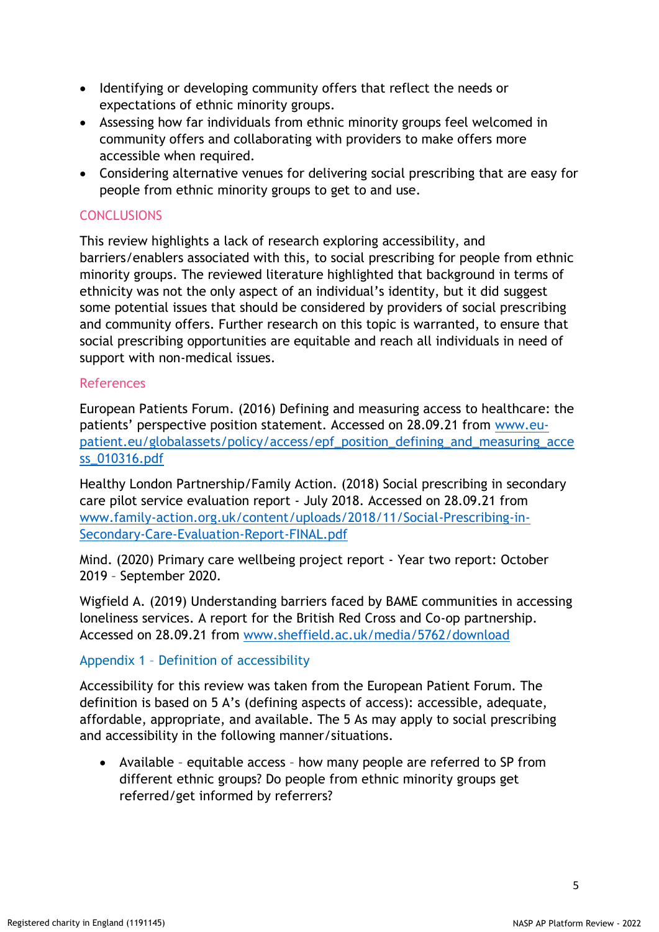- Identifying or developing community offers that reflect the needs or expectations of ethnic minority groups.
- Assessing how far individuals from ethnic minority groups feel welcomed in community offers and collaborating with providers to make offers more accessible when required.
- Considering alternative venues for delivering social prescribing that are easy for people from ethnic minority groups to get to and use.

# **CONCLUSIONS**

This review highlights a lack of research exploring accessibility, and barriers/enablers associated with this, to social prescribing for people from ethnic minority groups. The reviewed literature highlighted that background in terms of ethnicity was not the only aspect of an individual's identity, but it did suggest some potential issues that should be considered by providers of social prescribing and community offers. Further research on this topic is warranted, to ensure that social prescribing opportunities are equitable and reach all individuals in need of support with non-medical issues.

#### References

European Patients Forum. (2016) Defining and measuring access to healthcare: the patients' perspective position statement. Accessed on 28.09.21 from [www.eu](http://www.eu-patient.eu/globalassets/policy/access/epf_position_defining_and_measuring_access_010316.pdf)[patient.eu/globalassets/policy/access/epf\\_position\\_defining\\_and\\_measuring\\_acce](http://www.eu-patient.eu/globalassets/policy/access/epf_position_defining_and_measuring_access_010316.pdf) [ss\\_010316.pdf](http://www.eu-patient.eu/globalassets/policy/access/epf_position_defining_and_measuring_access_010316.pdf)

Healthy London Partnership/Family Action. (2018) Social prescribing in secondary care pilot service evaluation report - July 2018. Accessed on 28.09.21 from [www.family-action.org.uk/content/uploads/2018/11/Social-Prescribing-in-](http://www.family-action.org.uk/content/uploads/2018/11/Social-Prescribing-in-Secondary-Care-Evaluation-Report-FINAL.pdf)[Secondary-Care-Evaluation-Report-FINAL.pdf](http://www.family-action.org.uk/content/uploads/2018/11/Social-Prescribing-in-Secondary-Care-Evaluation-Report-FINAL.pdf)

Mind. (2020) Primary care wellbeing project report - Year two report: October 2019 – September 2020.

Wigfield A. (2019) Understanding barriers faced by BAME communities in accessing loneliness services. A report for the British Red Cross and Co-op partnership. Accessed on 28.09.21 from [www.sheffield.ac.uk/media/5762/download](http://www.sheffield.ac.uk/media/5762/download)

# Appendix 1 – Definition of accessibility

Accessibility for this review was taken from the European Patient Forum. The definition is based on 5 A's (defining aspects of access): accessible, adequate, affordable, appropriate, and available. The 5 As may apply to social prescribing and accessibility in the following manner/situations.

• Available – equitable access – how many people are referred to SP from different ethnic groups? Do people from ethnic minority groups get referred/get informed by referrers?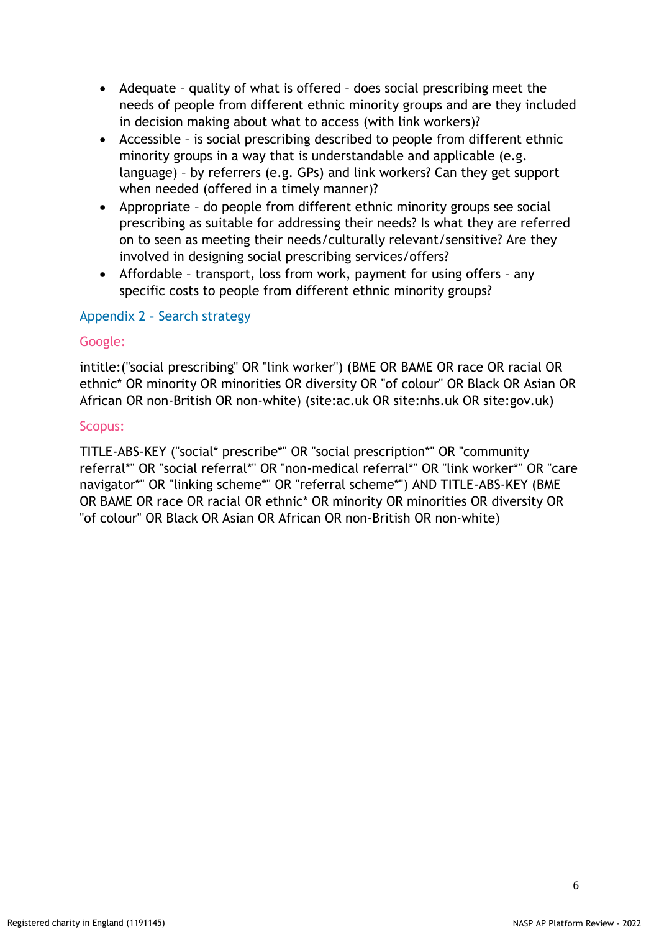- Adequate quality of what is offered does social prescribing meet the needs of people from different ethnic minority groups and are they included in decision making about what to access (with link workers)?
- Accessible is social prescribing described to people from different ethnic minority groups in a way that is understandable and applicable (e.g. language) – by referrers (e.g. GPs) and link workers? Can they get support when needed (offered in a timely manner)?
- Appropriate do people from different ethnic minority groups see social prescribing as suitable for addressing their needs? Is what they are referred on to seen as meeting their needs/culturally relevant/sensitive? Are they involved in designing social prescribing services/offers?
- Affordable transport, loss from work, payment for using offers any specific costs to people from different ethnic minority groups?

# Appendix 2 – Search strategy

#### Google:

intitle:("social prescribing" OR "link worker") (BME OR BAME OR race OR racial OR ethnic\* OR minority OR minorities OR diversity OR "of colour" OR Black OR Asian OR African OR non-British OR non-white) (site:ac.uk OR site:nhs.uk OR site:gov.uk)

#### Scopus:

TITLE-ABS-KEY ("social\* prescribe\*" OR "social prescription\*" OR "community referral\*" OR "social referral\*" OR "non-medical referral\*" OR "link worker\*" OR "care navigator\*" OR "linking scheme\*" OR "referral scheme\*") AND TITLE-ABS-KEY (BME OR BAME OR race OR racial OR ethnic\* OR minority OR minorities OR diversity OR "of colour" OR Black OR Asian OR African OR non-British OR non-white)